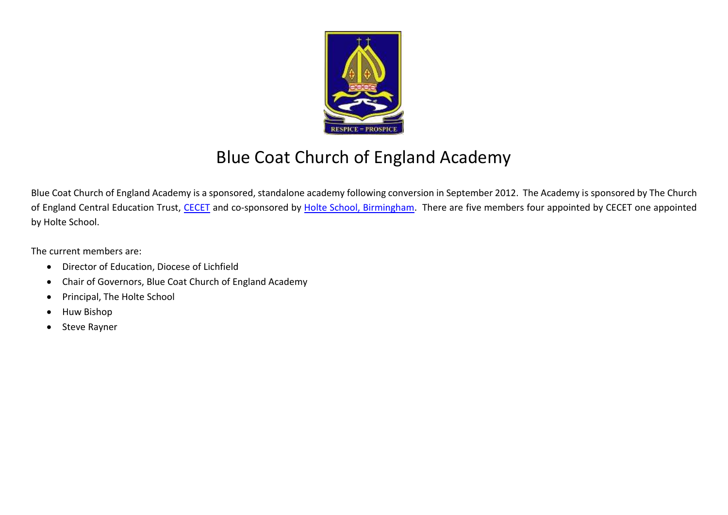

## Blue Coat Church of England Academy

Blue Coat Church of England Academy is a sponsored, standalone academy following conversion in September 2012. The Academy is sponsored by The Church of England Central Education Trust, [CECET](http://www.cecet.org.uk/) and co-sponsored by [Holte School, Birmingham.](http://www.holte.bham.sch.uk/) There are five members four appointed by CECET one appointed by Holte School.

The current members are:

- Director of Education, Diocese of Lichfield
- Chair of Governors, Blue Coat Church of England Academy
- Principal, The Holte School
- Huw Bishop
- Steve Rayner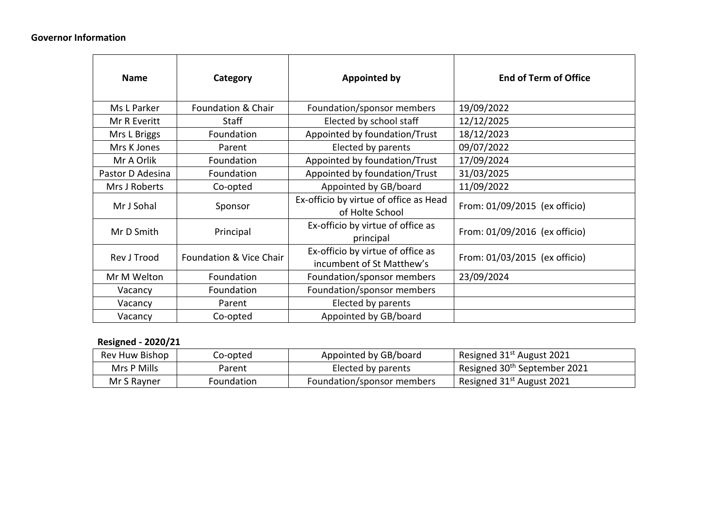## **Governor Information**

| <b>Name</b>      | Category                | <b>Appointed by</b>                                            | <b>End of Term of Office</b>  |  |  |
|------------------|-------------------------|----------------------------------------------------------------|-------------------------------|--|--|
| Ms L Parker      | Foundation & Chair      | Foundation/sponsor members                                     | 19/09/2022                    |  |  |
| Mr R Everitt     | <b>Staff</b>            | Elected by school staff                                        | 12/12/2025                    |  |  |
| Mrs L Briggs     | Foundation              | Appointed by foundation/Trust                                  | 18/12/2023                    |  |  |
| Mrs K Jones      | Parent                  | Elected by parents                                             | 09/07/2022                    |  |  |
| Mr A Orlik       | Foundation              | Appointed by foundation/Trust                                  | 17/09/2024                    |  |  |
| Pastor D Adesina | Foundation              | Appointed by foundation/Trust                                  | 31/03/2025                    |  |  |
| Mrs J Roberts    | Co-opted                | Appointed by GB/board                                          | 11/09/2022                    |  |  |
| Mr J Sohal       | Sponsor                 | Ex-officio by virtue of office as Head<br>of Holte School      | From: 01/09/2015 (ex officio) |  |  |
| Mr D Smith       | Principal               | Ex-officio by virtue of office as<br>principal                 | From: 01/09/2016 (ex officio) |  |  |
| Rev J Trood      | Foundation & Vice Chair | Ex-officio by virtue of office as<br>incumbent of St Matthew's | From: 01/03/2015 (ex officio) |  |  |
| Mr M Welton      | Foundation              | Foundation/sponsor members                                     | 23/09/2024                    |  |  |
| Vacancy          | Foundation              | Foundation/sponsor members                                     |                               |  |  |
| Vacancy          | Parent                  | Elected by parents                                             |                               |  |  |
| Vacancy          | Co-opted                | Appointed by GB/board                                          |                               |  |  |

## **Resigned - 2020/21**

| Rev Huw Bishop | Co-opted   | Appointed by GB/board      | Resigned 31st August 2021                |
|----------------|------------|----------------------------|------------------------------------------|
| Mrs P Mills    | Parent     | Elected by parents         | Resigned 30 <sup>th</sup> September 2021 |
| Mr S Rayner    | Foundation | Foundation/sponsor members | Resigned 31st August 2021                |